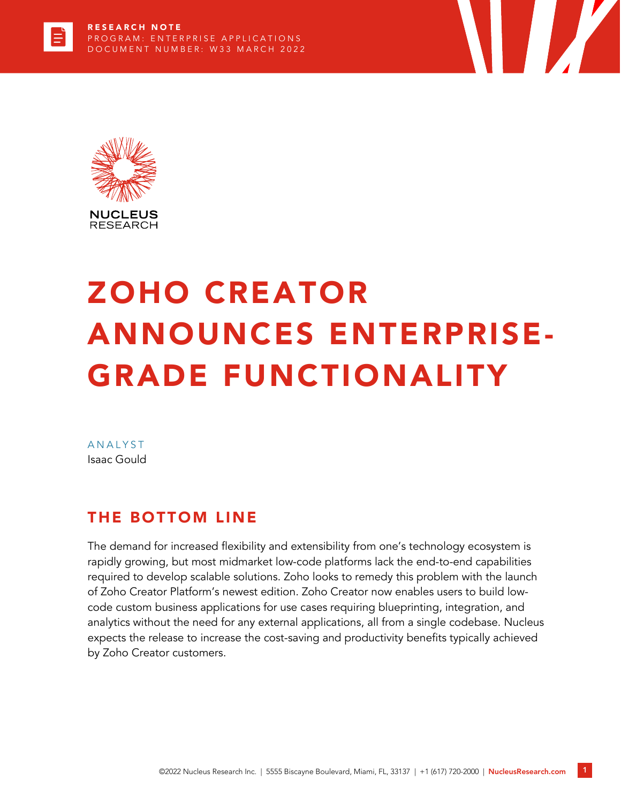

# ZOHO CREATOR ANNOUNCES ENTERPRISE-GRADE FUNCTIONALITY

**TERRA** 

**ANALYST** Isaac Gould

## THE BOTTOM LINE

The demand for increased flexibility and extensibility from one's technology ecosystem is rapidly growing, but most midmarket low-code platforms lack the end-to-end capabilities required to develop scalable solutions. Zoho looks to remedy this problem with the launch of Zoho Creator Platform's newest edition. Zoho Creator now enables users to build lowcode custom business applications for use cases requiring blueprinting, integration, and analytics without the need for any external applications, all from a single codebase. Nucleus expects the release to increase the cost-saving and productivity benefits typically achieved by Zoho Creator customers.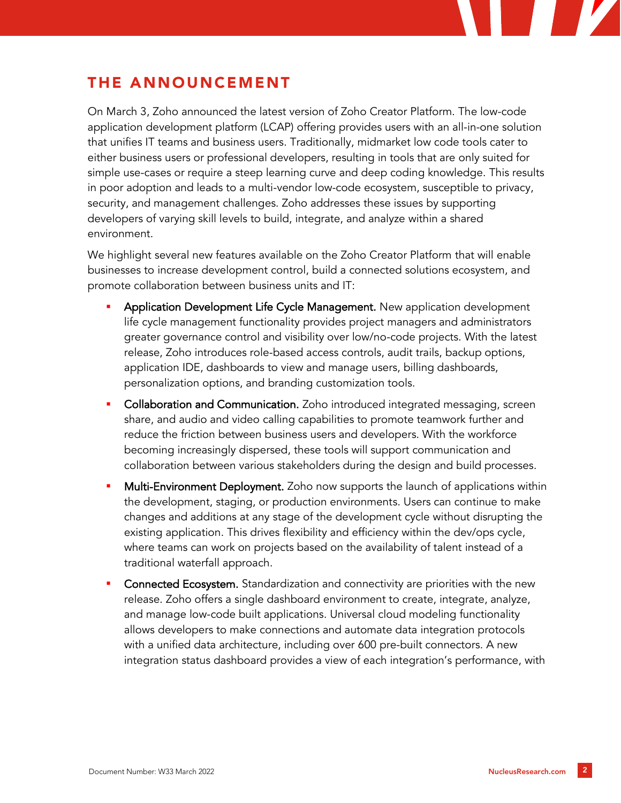# THE ANNOUNCEMENT

On March 3, Zoho announced the latest version of Zoho Creator Platform. The low-code application development platform (LCAP) offering provides users with an all-in-one solution that unifies IT teams and business users. Traditionally, midmarket low code tools cater to either business users or professional developers, resulting in tools that are only suited for simple use-cases or require a steep learning curve and deep coding knowledge. This results in poor adoption and leads to a multi-vendor low-code ecosystem, susceptible to privacy, security, and management challenges. Zoho addresses these issues by supporting developers of varying skill levels to build, integrate, and analyze within a shared environment.

We highlight several new features available on the Zoho Creator Platform that will enable businesses to increase development control, build a connected solutions ecosystem, and promote collaboration between business units and IT:

- Application Development Life Cycle Management. New application development life cycle management functionality provides project managers and administrators greater governance control and visibility over low/no-code projects. With the latest release, Zoho introduces role-based access controls, audit trails, backup options, application IDE, dashboards to view and manage users, billing dashboards, personalization options, and branding customization tools.
- Collaboration and Communication. Zoho introduced integrated messaging, screen share, and audio and video calling capabilities to promote teamwork further and reduce the friction between business users and developers. With the workforce becoming increasingly dispersed, these tools will support communication and collaboration between various stakeholders during the design and build processes.
- **Multi-Environment Deployment.** Zoho now supports the launch of applications within the development, staging, or production environments. Users can continue to make changes and additions at any stage of the development cycle without disrupting the existing application. This drives flexibility and efficiency within the dev/ops cycle, where teams can work on projects based on the availability of talent instead of a traditional waterfall approach.
- Connected Ecosystem. Standardization and connectivity are priorities with the new release. Zoho offers a single dashboard environment to create, integrate, analyze, and manage low-code built applications. Universal cloud modeling functionality allows developers to make connections and automate data integration protocols with a unified data architecture, including over 600 pre-built connectors. A new integration status dashboard provides a view of each integration's performance, with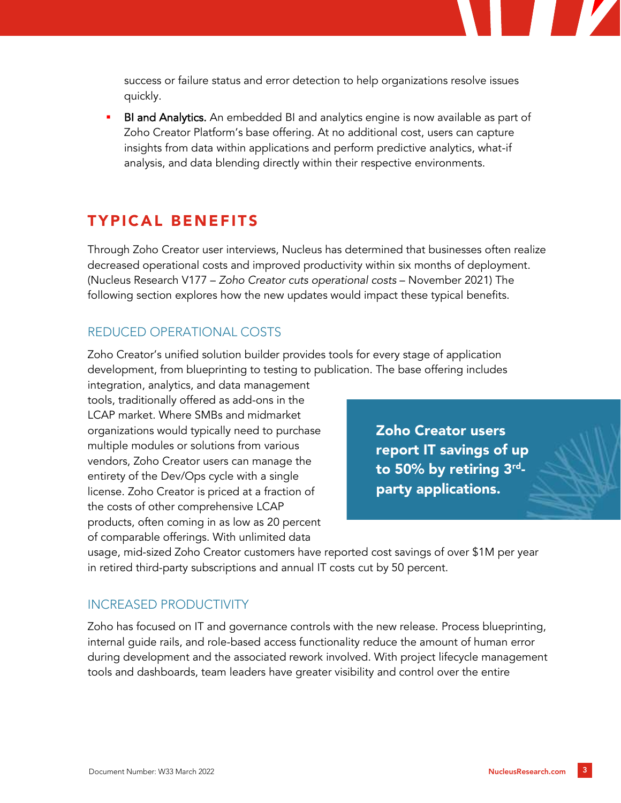success or failure status and error detection to help organizations resolve issues quickly.

BI and Analytics. An embedded BI and analytics engine is now available as part of Zoho Creator Platform's base offering. At no additional cost, users can capture insights from data within applications and perform predictive analytics, what-if analysis, and data blending directly within their respective environments.

### TYPICAL BENEFITS

Through Zoho Creator user interviews, Nucleus has determined that businesses often realize decreased operational costs and improved productivity within six months of deployment. (Nucleus Research V177 – *Zoho Creator cuts operational costs* – November 2021) The following section explores how the new updates would impact these typical benefits.

#### REDUCED OPERATIONAL COSTS

Zoho Creator's unified solution builder provides tools for every stage of application development, from blueprinting to testing to publication. The base offering includes

integration, analytics, and data management tools, traditionally offered as add-ons in the LCAP market. Where SMBs and midmarket organizations would typically need to purchase multiple modules or solutions from various vendors, Zoho Creator users can manage the entirety of the Dev/Ops cycle with a single license. Zoho Creator is priced at a fraction of the costs of other comprehensive LCAP products, often coming in as low as 20 percent of comparable offerings. With unlimited data

Zoho Creator users report IT savings of up to 50% by retiring 3<sup>rd</sup>party applications.

usage, mid-sized Zoho Creator customers have reported cost savings of over \$1M per year in retired third-party subscriptions and annual IT costs cut by 50 percent.

#### INCREASED PRODUCTIVITY

Zoho has focused on IT and governance controls with the new release. Process blueprinting, internal guide rails, and role-based access functionality reduce the amount of human error during development and the associated rework involved. With project lifecycle management tools and dashboards, team leaders have greater visibility and control over the entire